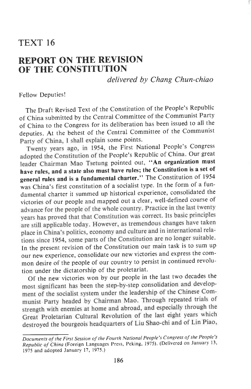## TEXT <sup>16</sup>

## REPORT ON THE REVISION OF THE CONSTITUTION

delivered by Chang Chun-chiao

Fellow Deputies!

The Draft Revised Text of the Constitution of the People's Republic of china submitted by the central committee of the communist Party of china to the congress for its deliberation has been issued to all the deputies. At the behest of the Central Committee of the Communist Party of China, I shall explain some points.

Twenty years ago, in 1954, the First National People's Congress adopted the Constitution of the People's Republic of China. Our great leader Chairman Mao Tsetung pointed out, "An organization must have rules, and a state also must have rules; the Constitution is a set of general rules and is a fundamental charter." The constitution of <sup>1954</sup> was china's first constitution of a socialist type. In the form of a fundamental charter it summed up historical experience, consolidated the victories of our people and mapped out a clear, well-defined course of advance for the people of the whole country. Practice in the last twenty vears has proved that that Constitution was correct. Its basic principles are still applicable today. However, as tremendous changes have taken place in China's politics, economy and culture and in international relations since 1954, some parts of the Constitution are no longer suitable.<br>In the present revision of the Constitution our main task is to sum up our new experience, consolidate our new victories and express the common desire of the people of our country to persist in continued revolution under the dictatorship of the proletariat.

Of the new victories won by our people in the last two decades the most significant has been the step-by-step consolidation and developmost significant has even the long by the leadership of the Chinese Communist Party headed by Chairman Mao. Through repeated trials of strength with enemies at home and abroad, and especially through the Great Proletarian Cultural Revolution of the last eight years which destroyed the bourgeois headquarters of Liu Shao-chi and of Lin Piao,

Documents of the First Session of the Fourth National People's Congress of the People's Republic of China (Foreign Languages Press, Peking, 1975). (Delivered on January 13, 1975 and adopted January 17, 1975.)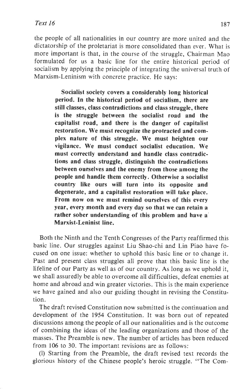the people of all nationalities in our country are more united and the dictatorship of the proletariat is more consolidated than ever. What is more important is that, in the course of the struggle, Chairman Mao formulated for us a basic line for the entire historical period of socialism by applying the principle of integrating the universal truth of Marxism-Leninism with concrete practice. He says:

> Socialist society covers a considerably long historical period. In the historical period of socialism, there are still classes, class contradictions and class struggle, there is the struggle between the socialist road and the capitalist road, and there is the danger of capitalist restoration. We must recognize the protracted and complex nature of this struggle. We must heighten our vigilance. We must conduct socialist education. We must correctly understand and handle class contradictions and class struggle, distinguish the contradictions between ourselves and the enemy from those among the people and handle them correctly. Otherwise a socialist country like ours will turn into its opposite and degenerate, and a capitalist restoration will take place. From now on we must remind ourselves of this every year, every month and every day so that we can retain a rather sober understanding of this problem and have a' Marxist-Leninist line.

Both the Ninth and the Tenth Congresses of the Party reaffirmed this basic line. Our struggles against Liu Shao-chi and Lin Piao have focused on one issue: whether to uphold this basic line or to change it. Past and present class struggles all prove that this basic line is the lifeline of our Party as well as of our country. As long as we uphold it, we shall assuredly be able to overcome all difficulties, defeat enemies at home and abroad and win greater victories. This is the main experience we have gained and also our guiding thought in revising the Constitution.

The draft revised Constitution now submitted is the continuation and development of the 1954 Constitution. It was born out of repeated discussions among the people of all our nationalities and is the outcome of combining the ideas of the leading organizations and those of the masses. The Preamble is new. The number of articles has been reduced from 106 to 30. The important revisions are as follows:

(l) Starting from the Preamble, the draft revised text records the glorious history of the Chinese people's heroic struggle. "The Com-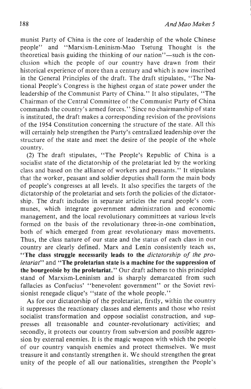munist Party of China is the core of leadership of the whole Chinese people" and "Marxism-Leninism-Mao Tsetung Thought is the theoretical basis guiding the thinking of our nation"-such is the conclusion which the people of our country have drawn from their historical experience of more than a century and which is now inscribed in the General Principles of the draft. The draft stipulates, "The National People's Congress is the highest organ of state power under the leadership of the Communist Party of China." It also stipulates, "The Chairman of the Central Committee of the Communist Party of China commands the country's armed forces. " Since no chairmanship of state is instituted, the draft makes a corresponding revision of the provisions of the 1954 Constitution concerning the structure of the state. All this will certainly help strengthen the Party's centralized leadership over the structure of the state and meet the desire of the people of the whole country.

(2) The draft stipulates, "The People's Republic of China is <sup>a</sup> socialist state of the dictatorship of the proletariat led by the working class and based on the alliance of workers and peasants." It stipulates that the worker, peasant and soldier deputies shall form the main body of people's congresses at all levels. It also specifies the targets of the dictatorship of the proletariat and sets forth the policies of the dictatorship. The draft includes in separate articles the rural people's communes, which integrate government administration and economic management, and the local revolutionary committees at various levels formed on the basis of the revolutionary three-in-one combination, both of which emerged from great revolutionary mass movements. Thus, the class nature of our state and the status of each class in our country are clearly defined. Marx and Lenin consistently teach us, "The class struggle necessarily leads to the *dictatorship of the pro*letariat" and "The proletarian state is a machine for the suppression of the bourgeoisie by the proletariat." Our draft adheres to this principled stand of Marxism-Leninism and is sharply demarcated from such fallacies as Confucius' "benevolent government" or the Soviet revisionist renegade clique's "state of the whole people."

As for our dictatorship of the proletariat, firstly, within the country it suppresses the reactionary classes and elements and those who resist socialist transformation and oppose socialist construction, and suppresses all treasonable and counter-revolutionary activities; and secondly, it protects our country from subversion and possible aggression by external enemies. It is the magic weapon with which the people of our country vanquish enemies and protect themselves. We must treasure it and constantly strengthen it. We should strengthen the great unity of the people of all our nationalities, strengthen the People's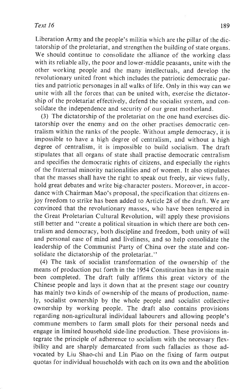## $Text 16$  189

Liberation Army and the people's militia which are the pillar of the dictatorship of the proletariat, and strengthen the building of state organs. We should continue to consolidate the alliance of the working class with its reliable ally, the poor and lower-middle peasants, unite with the other working people and the many intellectuals, and develop the revolutionary united front which includes the patriotic democratic parties and patriotic personages in all walks of life. Only in this way can we unite with all the forces that can be united with, exercise the dictatorship of the proletariat effectively, defend the socialist system, and consolidate the independence and security of our great motherland.

(3) The dictatorship of the proletariat on the one hand exercises dictatorship over the enemy and on the other practises democratic centralism within the ranks of the people. Without ample democracy, it is impossible to have a high degree of centralism, and without a high degree of centralism, it is impossible to build socialism. The draft stipulates that all organs of state shall practise democratic centralism and specifies the democratic rights of citizens, and especially the rights of the fraternal minority nationalities and of women. It also stipulates that the masses shall have the right to speak out freely, air views fully, hold great debates and write big-character posters. Moreover, in accordance with Chairman Mao's proposal, the specification that citizens enjoy freedom to strike has been added to Article 28 of the draft. We are convinced that the revolutionary masses, who have been tempered in the Great Proletarian Cultural Revolution, will apply these provisions still better and "create a political situation in which there are both centralism and democracy, both discipline and freedom, both unity of will and personal ease of mind and liveliness, and so help consolidate the leadership of the Communist Party of China over the state and consolidate the dictatorship of the proletariat."

(4) The task of socialist transformation of the ownership of the means of production put forth in the 1954 Constitution has in the main been completed. The draft fully affirms this great victory of the Chinese people and lays it down that at the present stage our country has mainly two kinds of ownership of the means of production, namely, socialist ownership by the whole people and socialist collective ownership by working people. The draft also contains provisions regarding non-agricultural individual labourers and allowing people's commune members to farm small plots for their personal needs and engage in limited household side-line production. These provisions integrate the principle of adherence to socialism with the necessary flexibility and are sharply demarcated from such fallacies as those advocated by Liu Shao-chi and Lin Piao on the fixing of farm output quotas for individual households with each on its own and the abolition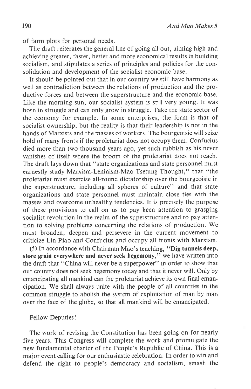of farm plots for personal needs.

The draft reiterates the general line of going all out, aiming high and achieving greater, faster, better and more economical results in building socialism, and stipulates a series of principles and policies for the consolidation and development of the socialist economic base.

It should be pointed out that in our country we still have harmony as well as contradiction between the relations of production and the productive forces and between the superstructure and the economic base. Like the morning sun, our socialist system is still very young. It was born in struggle and can only grow in struggle. Take the state sector of the economy for example. In some enterprises, the form is that of socialist ownership, but the reality is that their leadership is not in the hands of Marxists and the masses of workers. The bourgeoisie will seize hold of many fronts if the proletariat does not occupy them. Confucius died more than two thousand years ago, yet such rubbish as his never vanishes of itself where the broom of the proletariat does not reach. The draft lays down that "state organizations and state personnel must earnestly study Marxism-Leninism-Mao Tsetung Thought," that "the proletariat must exercise all-round dictatorship over the bourgeoisie in the superstructure, including all spheres of culture" and that state organizations and state personnel must maintain close ties with the masses and overcome unhealthy tendencies. It is precisely the purpose of these provisions to call on us to pay keen attention to grasping socialist revolution in the realm of the superstructure and to pay attention to solving problems concerning the relations of production. We must broaden, deepen and persevere in the current movement to criticize Lin Piao and Confucius and occupy all fronts with Marxism.

(5) In accordance with Chairman Mao's teaching, "Dig tunnels deep, store grain everywhere and never seek hegemony," we have written into the draft that "China will never be a superpower" in order to show that our country does not seek hegemony today and that it never will. Only by emancipating all mankind can the proletariat achieve its own final emancipation. We shall always unite with the people of all countries in the common struggle to abolish the system of exploitation of man by man over the face of the globe, so that all mankind will be emancipated.

## Fellow Deputies!

The work of revising the Constitution has been going on for nearly five years. This Congress will complete the work and promulgate the new fundamental charter of the People's Republic of China. This is a major event calling for our enthusiastic celebration. In order to win and defend the right to people's democracy and socialism, smash the